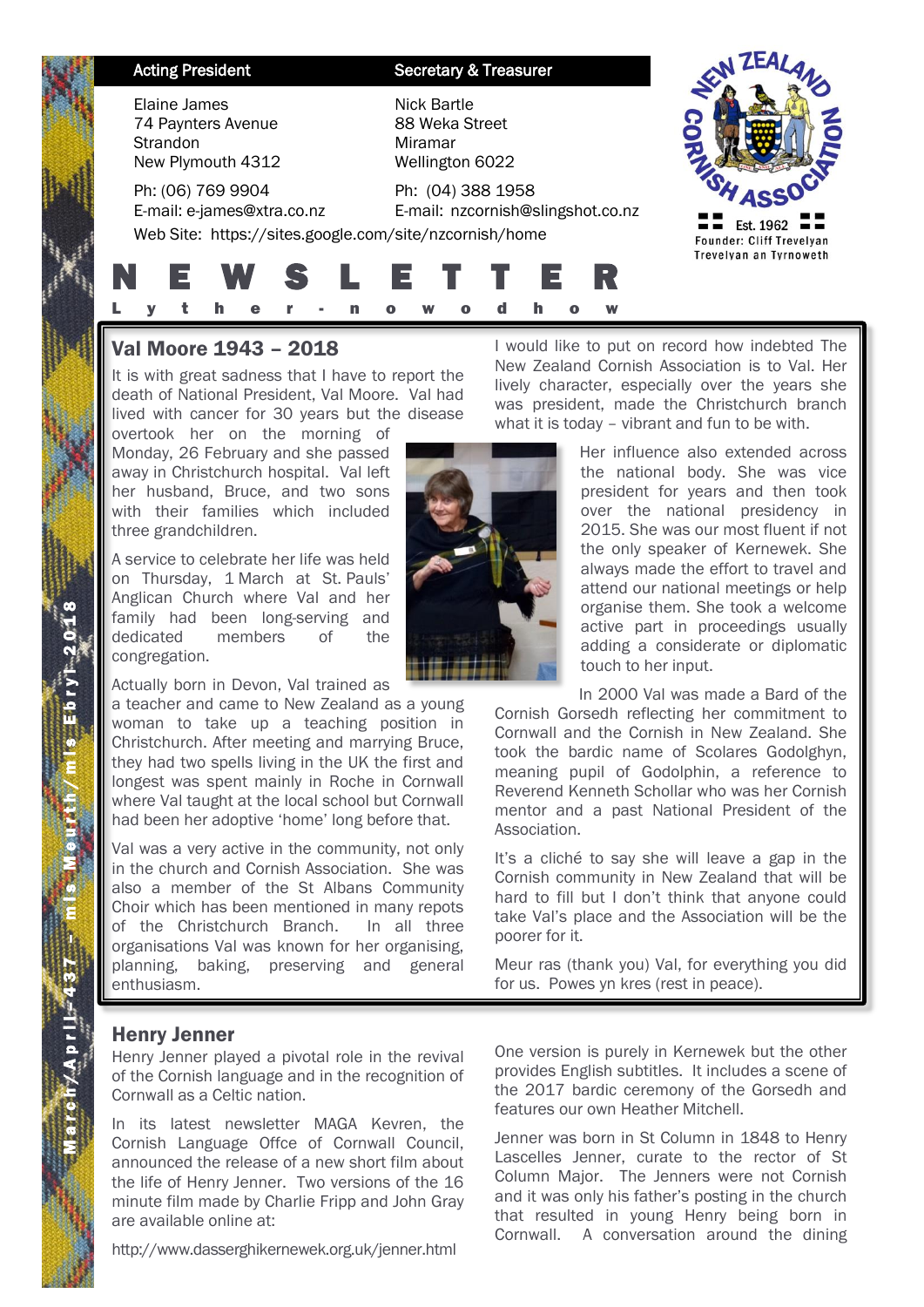| <b>Acting President</b>                                                    | <b>Secretary &amp; Treasurer</b>                            |                                                                 |
|----------------------------------------------------------------------------|-------------------------------------------------------------|-----------------------------------------------------------------|
| Elaine James<br>74 Paynters Avenue<br><b>Strandon</b><br>New Plymouth 4312 | Nick Bartle<br>88 Weka Street<br>Miramar<br>Wellington 6022 |                                                                 |
| Ph: (06) 769 9904<br>E-mail: e-james@xtra.co.nz                            | Ph: (04) 388 1958<br>E-mail: nzcornish@slingshot.co.nz      |                                                                 |
| Web Site: https://sites.google.com/site/nzcornish/home                     |                                                             | Est. 1962<br>Founder: Cliff Trevelyan<br>Trevelyan an Tyrnoweth |
| <b>W</b><br>E.                                                             | SLETT<br>W                                                  |                                                                 |

# Val Moore 1943 – 2018

It is with great sadness that I have to report the death of National President, Val Moore. Val had lived with cancer for 30 years but the disease overtook her on the morning of

Monday, 26 February and she passed away in Christchurch hospital. Val left her husband, Bruce, and two sons with their families which included three grandchildren.

A service to celebrate her life was held on Thursday, 1 March at St. Pauls' Anglican Church where Val and her family had been long-serving and dedicated members of the congregation.

Actually born in Devon, Val trained as

a teacher and came to New Zealand as a young woman to take up a teaching position in Christchurch. After meeting and marrying Bruce, they had two spells living in the UK the first and longest was spent mainly in Roche in Cornwall where Val taught at the local school but Cornwall had been her adoptive 'home' long before that.

Val was a very active in the community, not only in the church and Cornish Association. She was also a member of the St Albans Community Choir which has been mentioned in many repots of the Christchurch Branch. In all three organisations Val was known for her organising, planning, baking, preserving and general enthusiasm.

I would like to put on record how indebted The New Zealand Cornish Association is to Val. Her lively character, especially over the years she was president, made the Christchurch branch what it is today – vibrant and fun to be with.

> Her influence also extended across the national body. She was vice president for years and then took over the national presidency in 2015. She was our most fluent if not the only speaker of Kernewek. She always made the effort to travel and attend our national meetings or help organise them. She took a welcome active part in proceedings usually adding a considerate or diplomatic touch to her input.

֠

In 2000 Val was made a Bard of the

Cornish Gorsedh reflecting her commitment to Cornwall and the Cornish in New Zealand. She took the bardic name of Scolares Godolghyn, meaning pupil of Godolphin, a reference to Reverend Kenneth Schollar who was her Cornish mentor and a past National President of the Association.

It's a cliché to say she will leave a gap in the Cornish community in New Zealand that will be hard to fill but I don't think that anyone could take Val's place and the Association will be the poorer for it.

Meur ras (thank you) Val, for everything you did for us. Powes yn kres (rest in peace).

## Henry Jenner

Henry Jenner played a pivotal role in the revival of the Cornish language and in the recognition of Cornwall as a Celtic nation.

In its latest newsletter MAGA Kevren, the Cornish Language Offce of Cornwall Council, announced the release of a new short film about the life of Henry Jenner. Two versions of the 16 minute film made by Charlie Fripp and John Gray are available online at:

http://www.dasserghikernewek.org.uk/jenner.html

One version is purely in Kernewek but the other provides English subtitles. It includes a scene of the 2017 bardic ceremony of the Gorsedh and features our own Heather Mitchell.

Jenner was born in St Column in 1848 to Henry Lascelles Jenner, curate to the rector of St Column Major. The Jenners were not Cornish and it was only his father's posting in the church that resulted in young Henry being born in Cornwall. A conversation around the dining

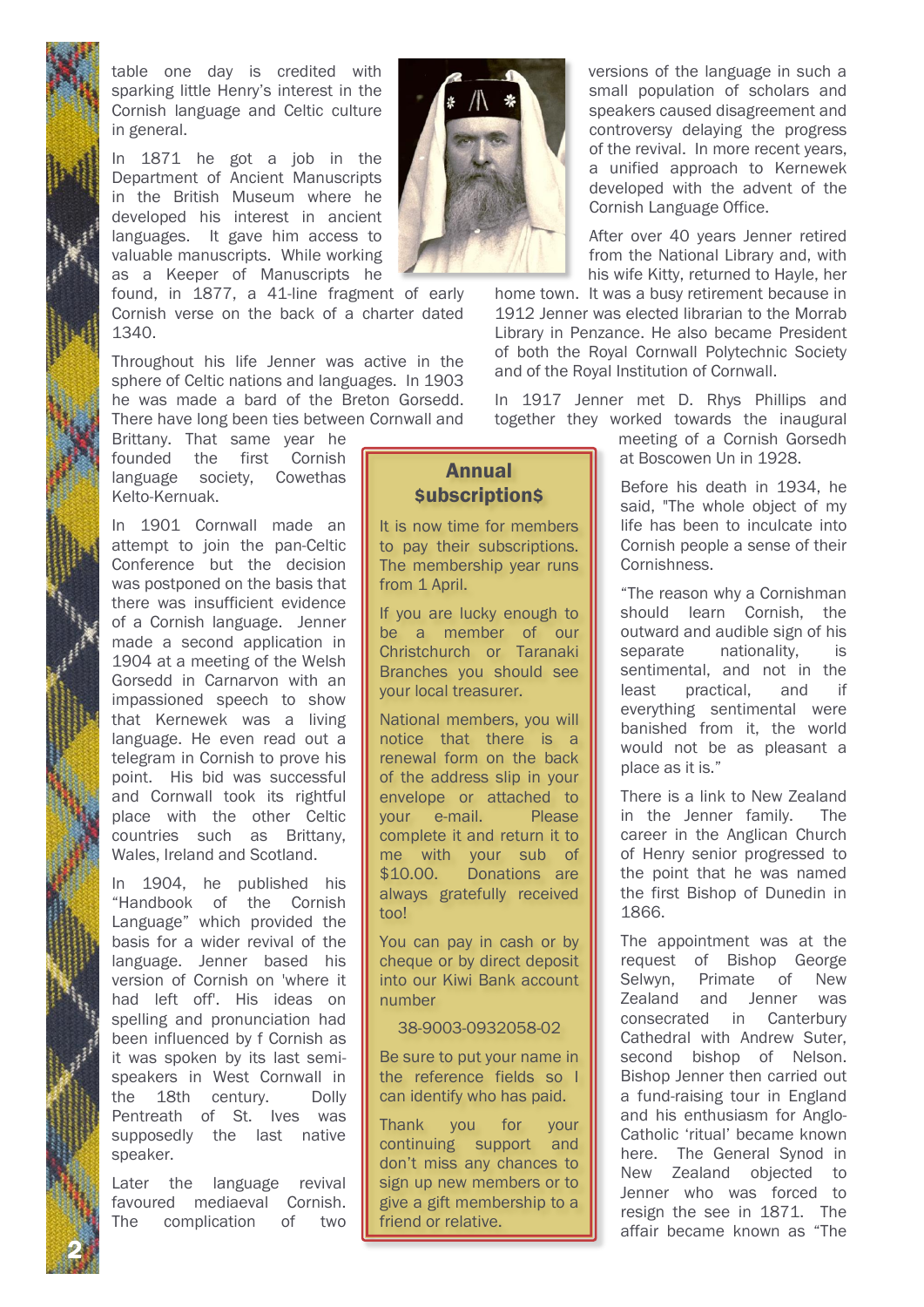table one day is credited with sparking little Henry's interest in the Cornish language and Celtic culture in general.

In 1871 he got a job in the Department of Ancient Manuscripts in the British Museum where he developed his interest in ancient languages. It gave him access to valuable manuscripts. While working as a Keeper of Manuscripts he

found, in 1877, a 41-line fragment of early Cornish verse on the back of a charter dated 1340.

Throughout his life Jenner was active in the sphere of Celtic nations and languages. In 1903 he was made a bard of the Breton Gorsedd. There have long been ties between Cornwall and

Brittany. That same year he founded the first Cornish language society, Cowethas Kelto-Kernuak.

In 1901 Cornwall made an attempt to join the pan-Celtic Conference but the decision was postponed on the basis that there was insufficient evidence of a Cornish language. Jenner made a second application in 1904 at a meeting of the Welsh Gorsedd in Carnarvon with an impassioned speech to show that Kernewek was a living language. He even read out a telegram in Cornish to prove his point. His bid was successful and Cornwall took its rightful place with the other Celtic countries such as Brittany, Wales, Ireland and Scotland.

In 1904, he published his "Handbook of the Cornish Language" which provided the basis for a wider revival of the language. Jenner based his version of Cornish on 'where it had left off'. His ideas on spelling and pronunciation had been influenced by f Cornish as it was spoken by its last semispeakers in West Cornwall in the 18th century. Dolly Pentreath of St. Ives was supposedly the last native speaker.

Later the language revival favoured mediaeval Cornish. The complication of two

2 N



versions of the language in such a small population of scholars and speakers caused disagreement and controversy delaying the progress of the revival. In more recent years, a unified approach to Kernewek developed with the advent of the Cornish Language Office.

After over 40 years Jenner retired from the National Library and, with his wife Kitty, returned to Hayle, her

home town. It was a busy retirement because in 1912 Jenner was elected librarian to the Morrab Library in Penzance. He also became President of both the Royal Cornwall Polytechnic Society and of the Royal Institution of Cornwall.

In 1917 Jenner met D. Rhys Phillips and together they worked towards the inaugural

> meeting of a Cornish Gorsedh at Boscowen Un in 1928.

Before his death in 1934, he said, "The whole object of my life has been to inculcate into Cornish people a sense of their Cornishness.

"The reason why a Cornishman should learn Cornish, the outward and audible sign of his separate nationality, is sentimental, and not in the least practical, and if everything sentimental were banished from it, the world would not be as pleasant a place as it is."

There is a link to New Zealand in the Jenner family. The career in the Anglican Church of Henry senior progressed to the point that he was named the first Bishop of Dunedin in 1866.

The appointment was at the request of Bishop George Selwyn, Primate of New Zealand and Jenner was consecrated in Canterbury Cathedral with Andrew Suter, second bishop of Nelson. Bishop Jenner then carried out a fund-raising tour in England and his enthusiasm for Anglo-Catholic 'ritual' became known here. The General Synod in New Zealand objected to Jenner who was forced to resign the see in 1871. The affair became known as "The

# Annual \$ubscription\$

It is now time for members to pay their subscriptions. The membership year runs from 1 April.

If you are lucky enough to be a member of our Christchurch or Taranaki Branches you should see your local treasurer.

National members, you will notice that there is a renewal form on the back of the address slip in your envelope or attached to your e-mail. Please complete it and return it to me with your sub of \$10.00. Donations are always gratefully received too!

You can pay in cash or by cheque or by direct deposit into our Kiwi Bank account number

#### 38-9003-0932058-02

Be sure to put your name in the reference fields so I can identify who has paid.

Thank you for your continuing support and don't miss any chances to sign up new members or to give a gift membership to a friend or relative.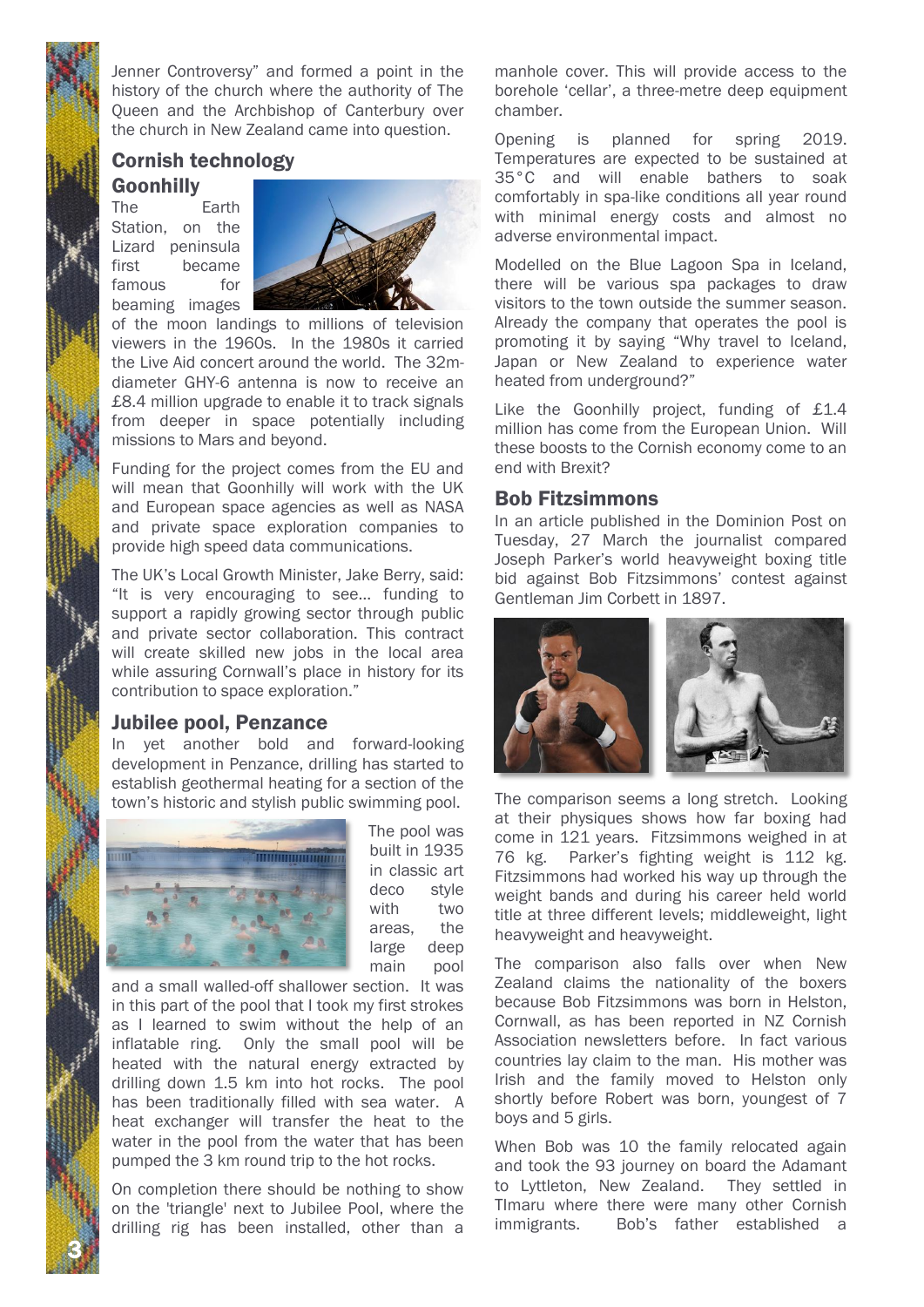Jenner Controversy" and formed a point in the history of the church where the authority of The Queen and the Archbishop of Canterbury over the church in New Zealand came into question.

# Cornish technology

Goonhilly

The Earth Station, on the Lizard peninsula first became famous for beaming images



of the moon landings to millions of television viewers in the 1960s. In the 1980s it carried the Live Aid concert around the world. The 32mdiameter GHY-6 antenna is now to receive an £8.4 million upgrade to enable it to track signals from deeper in space potentially including missions to Mars and beyond.

Funding for the project comes from the EU and will mean that Goonhilly will work with the UK and European space agencies as well as NASA and private space exploration companies to provide high speed data communications.

The UK's Local Growth Minister, Jake Berry, said: "It is very encouraging to see… funding to support a rapidly growing sector through public and private sector collaboration. This contract will create skilled new jobs in the local area while assuring Cornwall's place in history for its contribution to space exploration."

## Jubilee pool, Penzance

In yet another bold and forward-looking development in Penzance, drilling has started to establish geothermal heating for a section of the town's historic and stylish public swimming pool.



The pool was built in 1935 in classic art deco style with two areas, the large deep main pool

and a small walled-off shallower section. It was in this part of the pool that I took my first strokes as I learned to swim without the help of an inflatable ring. Only the small pool will be heated with the natural energy extracted by drilling down 1.5 km into hot rocks. The pool has been traditionally filled with sea water. A heat exchanger will transfer the heat to the water in the pool from the water that has been pumped the 3 km round trip to the hot rocks.

On completion there should be nothing to show on the 'triangle' next to Jubilee Pool, where the drilling rig has been installed, other than a

3 N

manhole cover. This will provide access to the borehole 'cellar', a three-metre deep equipment chamber.

Opening is planned for spring 2019. Temperatures are expected to be sustained at 35°C and will enable bathers to soak comfortably in spa-like conditions all year round with minimal energy costs and almost no adverse environmental impact.

Modelled on the Blue Lagoon Spa in Iceland, there will be various spa packages to draw visitors to the town outside the summer season. Already the company that operates the pool is promoting it by saying "Why travel to Iceland, Japan or New Zealand to experience water heated from underground?"

Like the Goonhilly project, funding of £1.4 million has come from the European Union. Will these boosts to the Cornish economy come to an end with Brexit?

#### Bob Fitzsimmons

In an article published in the Dominion Post on Tuesday, 27 March the journalist compared Joseph Parker's world heavyweight boxing title bid against Bob Fitzsimmons' contest against Gentleman Jim Corbett in 1897.



The comparison seems a long stretch. Looking at their physiques shows how far boxing had come in 121 years. Fitzsimmons weighed in at 76 kg. Parker's fighting weight is 112 kg. Fitzsimmons had worked his way up through the weight bands and during his career held world title at three different levels; middleweight, light heavyweight and heavyweight.

The comparison also falls over when New Zealand claims the nationality of the boxers because Bob Fitzsimmons was born in Helston, Cornwall, as has been reported in NZ Cornish Association newsletters before. In fact various countries lay claim to the man. His mother was Irish and the family moved to Helston only shortly before Robert was born, youngest of 7 boys and 5 girls.

When Bob was 10 the family relocated again and took the 93 journey on board the Adamant to Lyttleton, New Zealand. They settled in TImaru where there were many other Cornish immigrants. Bob's father established a